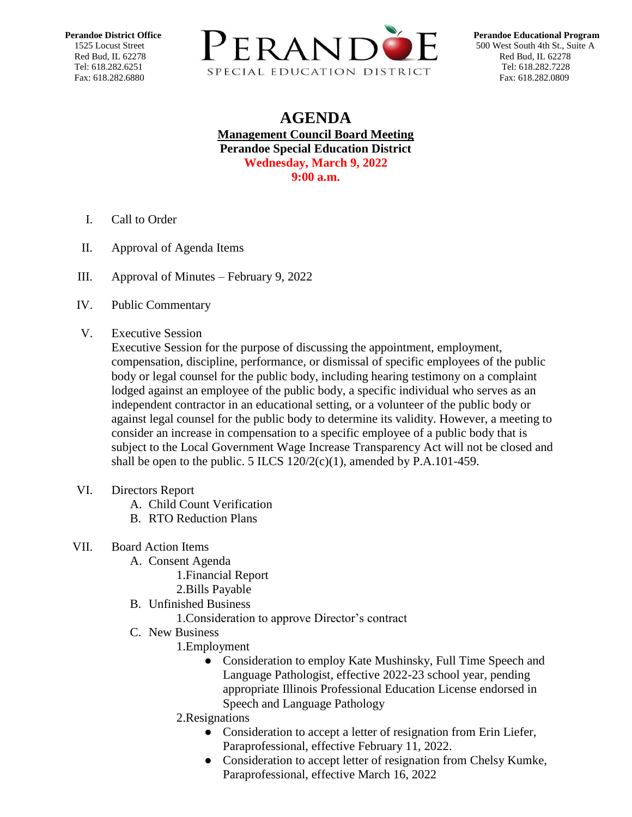

## **AGENDA Management Council Board Meeting Perandoe Special Education District Wednesday, March 9, 2022 9:00 a.m.**

- I. Call to Order
- II. Approval of Agenda Items
- III. [Approval of Minutes –](https://docs.google.com/document/d/1JwBSoIOiZharr1vS_EKkc_RdMwY3GRXS/edit?usp=sharing&ouid=109781567068093532073&rtpof=true&sd=true) February 9, 2022
- IV. Public Commentary
- V. Executive Session

Executive Session for the purpose of discussing the appointment, employment, compensation, discipline, performance, or dismissal of specific employees of the public body or legal counsel for the public body, including hearing testimony on a complaint lodged against an employee of the public body, a specific individual who serves as an independent contractor in an educational setting, or a volunteer of the public body or against legal counsel for the public body to determine its validity. However, a meeting to consider an increase in compensation to a specific employee of a public body that is subject to the Local Government Wage Increase Transparency Act will not be closed and shall be open to the public. 5 ILCS  $120/2(c)(1)$ , amended by P.A.101-459.

- VI. Directors Report
	- A. Child Count Verification
	- B. RTO Reduction Plans
- VII. Board Action Items
	- A. Consent Agenda
		- 1.Financial Report
		- 2.Bills Payable
	- B. Unfinished Business
		- 1.Consideration to approve Director's contract
	- C. New Business
		- 1.Employment
			- Consideration to employ Kate Mushinsky, Full Time Speech and Language Pathologist, effective 2022-23 school year, pending appropriate Illinois Professional Education License endorsed in Speech and Language Pathology
		- 2.Resignations
			- Consideration to accept a letter of resignation from Erin Liefer, Paraprofessional, effective February 11, 2022.
			- Consideration to accept letter of resignation from Chelsy Kumke, Paraprofessional, effective March 16, 2022